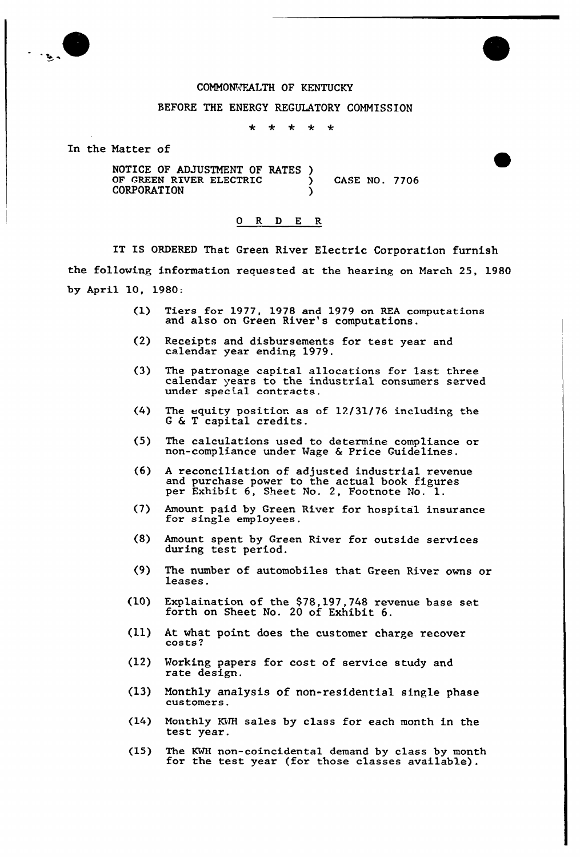

## COMMONVEALTH OF KENTUCKY

## BEFORE THE ENERGY REGULATORY COMMISSION

 $\star$ ÷  $\star$  $\star$  $\ddot{\bullet}$ 

In the Matter of

NOTICE OF ADJUSTMENT OF RATES ) OF GREEN RIVER ELECTRIC  $\qquad$  ) CASE NO. 7706 **CORPORATION** 

## 0 R <sup>D</sup> E R

IT IS ORDERED That Green River Electric Corporation furnish the following information requested at the hearing on March 25, 1980 by April 10, 1980:

- Tiers for 1977, 1978 and 1979 on REA computations  $(1)$ and also on Green River's computations.
- (2) Receipts and disbursements for test year and calendar year ending 1979.
- (3) The patronage capital allocations for last three calendar years to the industrial consumers served under special contracts.
- (4) The equity position as of 12/31/76 including the <sup>G</sup> & <sup>T</sup> capital credits.
- (5) The calculations used to determine compliance or non-compliance under Wage & Price Guidelines.
- (6) A reconciliation of adjusted industrial revenue and purchase power to the actual book figures per Exhibit 6, Sheet No. 2, Footnote No. 1.
- (7) Amount paid by Green River for hospital insurance for single employees.
- (8) Amount spent by Green River for outside services during test period.
- (9) The number of automobiles that Green River owns or leases .
- (10) Explaination of the \$78,197,748 revenue base set forth on Sheet No. <sup>20</sup> of Exhibit 6.
- (11} At what point does the customer charge recover cos ts <sup>2</sup>
- (12) Working papers for cost of service study and rate design.
- $(13)$ Monthly analysis of non-residential single phase customers.
- (14) Monthly KWH sales by class for each month in the test year.
- (15) The KWH non-coincidental demand by class by month for the test year (for those classes available).